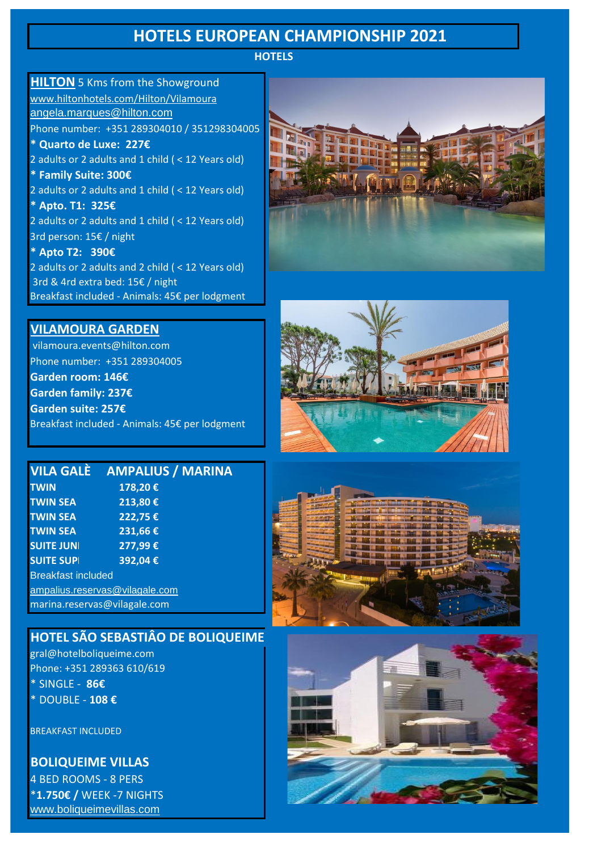# **HOTELS EUROPEAN CHAMPIONSHIP 2021**

**HOTELS**

**HILTON** 5 Kms from the Showground [www.hiltonhotels.com/Hilton/Vilamoura](http://www.hiltonhotels.com/Hilton/Vilamoura) [angela.marques@hilton.com](mailto:angela.marques@hilton.com) Phone number: +351 289304010 / 351298304005 **\* Quarto de Luxe: 227€** 2 adults or 2 adults and 1 child ( < 12 Years old) **\* Family Suite: 300€** 2 adults or 2 adults and 1 child ( < 12 Years old) **\* Apto. T1: 325€** 2 adults or 2 adults and 1 child ( < 12 Years old) 3rd person: 15€ / night **\* Apto T2: 390€** 2 adults or 2 adults and 2 child ( < 12 Years old) 3rd & 4rd extra bed: 15€ / night Breakfast included - Animals: 45€ per lodgment



### **VILAMOURA GARDEN**

 vilamoura.events@hilton.com Phone number: +351 289304005 **Garden room: 146€ Garden family: 237€ Garden suite: 257€** Breakfast included - Animals: 45€ per lodgment



|                           | VILA GALÈ AMPALIUS / MARINA    |
|---------------------------|--------------------------------|
| <b>TWIN</b>               | 178,20€                        |
| <b>TWIN SEA</b>           | 213,80€                        |
| <b>TWIN SEA</b>           | 222,75€                        |
| <b>TWIN SEA</b>           | 231,66€                        |
| <b>SUITE JUNI</b>         | 277,99€                        |
| <b>SUITE SUPI</b>         | 392,04€                        |
| <b>Breakfast included</b> |                                |
|                           | ampalius.reservas@vilagale.com |
|                           | marina.reservas@vilagale.com   |

### **HOTEL SÃO SEBASTIÂO DE BOLIQUEIME**

gral@hotelboliqueime.com Phone: +351 289363 610/619 \* SINGLE - **86€** \* DOUBLE - **108 €**

BREAKFAST INCLUDED

**BOLIQUEIME VILLAS**

4 BED ROOMS - 8 PERS \***1.750€ /** WEEK -7 NIGHTS [www.boliqueimevillas.com](http://www.boliqueimevillas.com/)